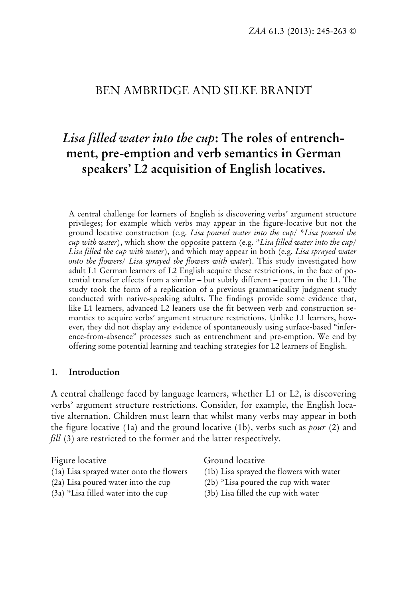# BEN AMBRIDGE AND SILKE BRANDT

# *Lisa filled water into the cup***: The roles of entrenchment, pre-emption and verb semantics in German speakers' L2 acquisition of English locatives.**

A central challenge for learners of English is discovering verbs' argument structure privileges; for example which verbs may appear in the figure-locative but not the ground locative construction (e.g. *Lisa poured water into the cup/ \*Lisa poured the cup with water*), which show the opposite pattern (e.g. *\*Lisa filled water into the cup/ Lisa filled the cup with water*), and which may appear in both (e.g. *Lisa sprayed water onto the flowers/ Lisa sprayed the flowers with water*). This study investigated how adult L1 German learners of L2 English acquire these restrictions, in the face of potential transfer effects from a similar – but subtly different – pattern in the L1. The study took the form of a replication of a previous grammaticality judgment study conducted with native-speaking adults. The findings provide some evidence that, like L1 learners, advanced L2 leaners use the fit between verb and construction semantics to acquire verbs' argument structure restrictions. Unlike L1 learners, however, they did not display any evidence of spontaneously using surface-based "inference-from-absence" processes such as entrenchment and pre-emption. We end by offering some potential learning and teaching strategies for L2 learners of English.

#### **1. Introduction**

A central challenge faced by language learners, whether L1 or L2, is discovering verbs' argument structure restrictions. Consider, for example, the English locative alternation. Children must learn that whilst many verbs may appear in both the figure locative (1a) and the ground locative (1b), verbs such as *pour* (2) and *fill* (3) are restricted to the former and the latter respectively.

- (1a) Lisa sprayed water onto the flowers (1b) Lisa sprayed the flowers with water
- 
- 

Figure locative Ground locative

- 
- (2a) Lisa poured water into the cup  $(2b)$  \*Lisa poured the cup with water
- <span id="page-0-0"></span>(3a) \*Lisa filled water into the cup (3b) Lisa filled the cup with water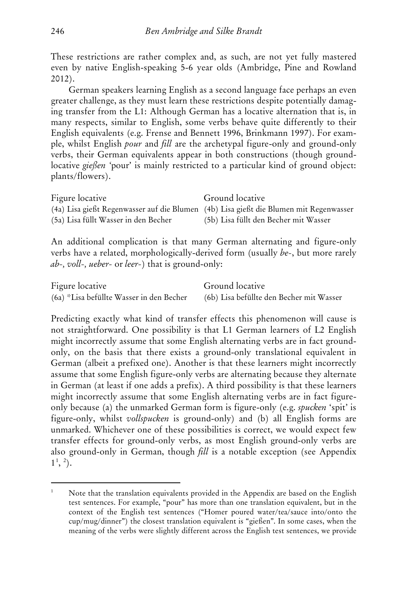These restrictions are rather complex and, as such, are not yet fully mastered even by native English-speaking 5-6 year olds (Ambridge, Pine and Rowland 2012).

German speakers learning English as a second language face perhaps an even greater challenge, as they must learn these restrictions despite potentially damaging transfer from the L1: Although German has a locative alternation that is, in many respects, similar to English, some verbs behave quite differently to their English equivalents (e.g. Frense and Bennett 1996, Brinkmann 1997). For example, whilst English *pour* and *fill* are the archetypal figure-only and ground-only verbs, their German equivalents appear in both constructions (though groundlocative *gießen '*pour' is mainly restricted to a particular kind of ground object: plants/flowers).

| Figure locative                      | Ground locative                                                                       |
|--------------------------------------|---------------------------------------------------------------------------------------|
|                                      | (4a) Lisa gießt Regenwasser auf die Blumen (4b) Lisa gießt die Blumen mit Regenwasser |
| (5a) Lisa füllt Wasser in den Becher | (5b) Lisa füllt den Becher mit Wasser                                                 |

An additional complication is that many German alternating and figure-only verbs have a related, morphologically-derived form (usually *be-*, but more rarely *ab-, voll-, ueber-* or *leer-*) that is ground-only:

| Figure locative                          | Ground locative                          |
|------------------------------------------|------------------------------------------|
| (6a) *Lisa befüllte Wasser in den Becher | (6b) Lisa befüllte den Becher mit Wasser |

Predicting exactly what kind of transfer effects this phenomenon will cause is not straightforward. One possibility is that L1 German learners of L2 English might incorrectly assume that some English alternating verbs are in fact groundonly, on the basis that there exists a ground-only translational equivalent in German (albeit a prefixed one). Another is that these learners might incorrectly assume that some English figure-only verbs are alternating because they alternate in German (at least if one adds a prefix). A third possibility is that these learners might incorrectly assume that some English alternating verbs are in fact figureonly because (a) the unmarked German form is figure-only (e.g. *spucken* 'spit' is figure-only, whilst *vollspucken* is ground-only) and (b) all English forms are unmarked. Whichever one of these possibilities is correct, we would expect few transfer effects for ground-only verbs, as most English ground-only verbs are also ground-only in German, though *fill* is a notable exception (see Appendix  $1^{\frac{1}{2}}$  $1^{\frac{1}{2}}$  $1^{\frac{1}{2}}$  $1^{\frac{1}{2}}$ .

-

<span id="page-1-1"></span><span id="page-1-0"></span>Note that the translation equivalents provided in the Appendix are based on the English test sentences. For example, "pour" has more than one translation equivalent, but in the context of the English test sentences ("Homer poured water/tea/sauce into/onto the cup/mug/dinner") the closest translation equivalent is "gießen". In some cases, when the meaning of the verbs were slightly different across the English test sentences, we provide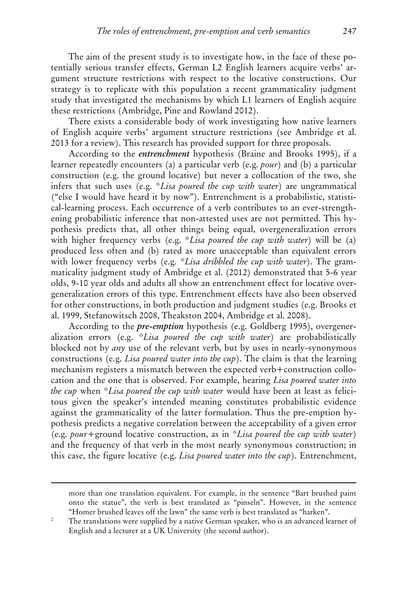The aim of the present study is to investigate how, in the face of these potentially serious transfer effects, German L2 English learners acquire verbs' argument structure restrictions with respect to the locative constructions. Our strategy is to replicate with this population a recent grammaticality judgment study that investigated the mechanisms by which L1 learners of English acquire these restrictions (Ambridge, Pine and Rowland 2012).

There exists a considerable body of work investigating how native learners of English acquire verbs' argument structure restrictions (see Ambridge et al. 2013 for a review). This research has provided support for three proposals.

According to the *entrenchment* hypothesis (Braine and Brooks 1995), if a learner repeatedly encounters (a) a particular verb (e.g. *pour*) and (b) a particular construction (e.g. the ground locative) but never a collocation of the two, she infers that such uses (e.g. \**Lisa poured the cup with water*) are ungrammatical ("else I would have heard it by now"). Entrenchment is a probabilistic, statistical-learning process. Each occurrence of a verb contributes to an ever-strengthening probabilistic inference that non-attested uses are not permitted. This hypothesis predicts that, all other things being equal, overgeneralization errors with higher frequency verbs (e.g. *\*Lisa poured the cup with water*) will be (a) produced less often and (b) rated as more unacceptable than equivalent errors with lower frequency verbs (e.g. *\*Lisa dribbled the cup with water*). The grammaticality judgment study of Ambridge et al. (2012) demonstrated that 5-6 year olds, 9-10 year olds and adults all show an entrenchment effect for locative overgeneralization errors of this type. Entrenchment effects have also been observed for other constructions, in both production and judgment studies (e.g. Brooks et al. 1999, Stefanowitsch 2008, Theakston 2004, Ambridge et al. 2008).

According to the *pre-emption* hypothesis (e.g. Goldberg 1995), overgeneralization errors (e.g. *\*Lisa poured the cup with water*) are probabilistically blocked not by *any* use of the relevant verb, but by uses in nearly-synonymous constructions (e.g. *Lisa poured water into the cup*). The claim is that the learning mechanism registers a mismatch between the expected verb+construction collocation and the one that is observed. For example, hearing *Lisa poured water into the cup* when *\*Lisa poured the cup with water* would have been at least as felicitous given the speaker's intended meaning constitutes probabilistic evidence against the grammaticality of the latter formulation. Thus the pre-emption hypothesis predicts a negative correlation between the acceptability of a given error (e.g. *pour*+ground locative construction, as in \**Lisa poured the cup with water*) and the frequency of that verb in the most nearly synonymous construction; in this case, the figure locative (e.g. *Lisa poured water into the cup*). Entrenchment,

-

more than one translation equivalent. For example, in the sentence "Bart brushed paint onto the statue", the verb is best translated as "pinseln". However, in the sentence "Homer brushed leaves off the lawn" the same verb is best translated as "harken".

<sup>&</sup>lt;sup>2</sup> The translations were supplied by a native German speaker, who is an advanced learner of English and a lecturer at a UK University (the second author).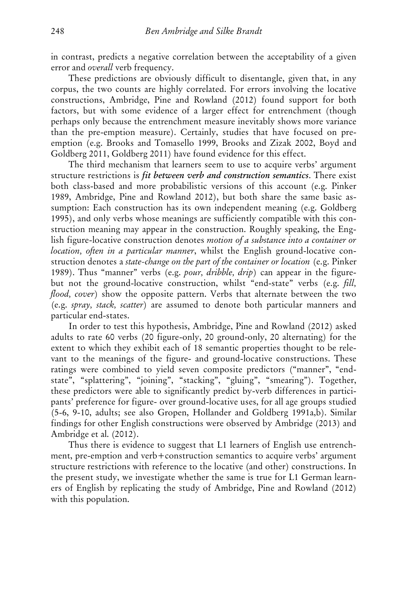in contrast, predicts a negative correlation between the acceptability of a given error and *overall* verb frequency.

These predictions are obviously difficult to disentangle, given that, in any corpus, the two counts are highly correlated. For errors involving the locative constructions, Ambridge, Pine and Rowland (2012) found support for both factors, but with some evidence of a larger effect for entrenchment (though perhaps only because the entrenchment measure inevitably shows more variance than the pre-emption measure). Certainly, studies that have focused on preemption (e.g. Brooks and Tomasello 1999, Brooks and Zizak 2002, Boyd and Goldberg 2011, Goldberg 2011) have found evidence for this effect.

The third mechanism that learners seem to use to acquire verbs' argument structure restrictions is *fit between verb and construction semantics*. There exist both class-based and more probabilistic versions of this account (e.g. Pinker 1989, Ambridge, Pine and Rowland 2012), but both share the same basic assumption: Each construction has its own independent meaning (e.g. Goldberg 1995), and only verbs whose meanings are sufficiently compatible with this construction meaning may appear in the construction. Roughly speaking, the English figure-locative construction denotes *motion of a substance into a container or location, often in a particular manner*, whilst the English ground-locative construction denotes a *state-change on the part of the container or location* (e.g. Pinker 1989). Thus "manner" verbs (e.g. *pour, dribble, drip*) can appear in the figurebut not the ground-locative construction, whilst "end-state" verbs (e.g. *fill, flood, cover*) show the opposite pattern. Verbs that alternate between the two (e.g. *spray, stack, scatter*) are assumed to denote both particular manners and particular end-states.

In order to test this hypothesis, Ambridge, Pine and Rowland (2012) asked adults to rate 60 verbs (20 figure-only, 20 ground-only, 20 alternating) for the extent to which they exhibit each of 18 semantic properties thought to be relevant to the meanings of the figure- and ground-locative constructions. These ratings were combined to yield seven composite predictors ("manner", "endstate", "splattering", "joining", "stacking", "gluing", "smearing"). Together, these predictors were able to significantly predict by-verb differences in participants' preference for figure- over ground-locative uses, for all age groups studied (5-6, 9-10, adults; see also Gropen, Hollander and Goldberg 1991a,b). Similar findings for other English constructions were observed by Ambridge (2013) and Ambridge et al. (2012).

Thus there is evidence to suggest that L1 learners of English use entrenchment, pre-emption and verb+construction semantics to acquire verbs' argument structure restrictions with reference to the locative (and other) constructions. In the present study, we investigate whether the same is true for L1 German learners of English by replicating the study of Ambridge, Pine and Rowland (2012) with this population.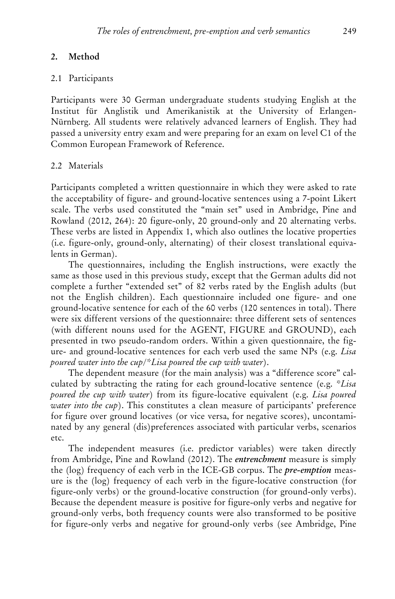## **2. Method**

#### 2.1 Participants

Participants were 30 German undergraduate students studying English at the Institut für Anglistik und Amerikanistik at the University of Erlangen-Nürnberg. All students were relatively advanced learners of English. They had passed a university entry exam and were preparing for an exam on level C1 of the Common European Framework of Reference.

### 2.2 Materials

Participants completed a written questionnaire in which they were asked to rate the acceptability of figure- and ground-locative sentences using a 7-point Likert scale. The verbs used constituted the "main set" used in Ambridge, Pine and Rowland (2012, 264): 20 figure-only, 20 ground-only and 20 alternating verbs. These verbs are listed in Appendix 1, which also outlines the locative properties (i.e. figure-only, ground-only, alternating) of their closest translational equivalents in German).

The questionnaires, including the English instructions, were exactly the same as those used in this previous study, except that the German adults did not complete a further "extended set" of 82 verbs rated by the English adults (but not the English children). Each questionnaire included one figure- and one ground-locative sentence for each of the 60 verbs (120 sentences in total). There were six different versions of the questionnaire: three different sets of sentences (with different nouns used for the AGENT, FIGURE and GROUND), each presented in two pseudo-random orders. Within a given questionnaire, the figure- and ground-locative sentences for each verb used the same NPs (e.g. *Lisa poured water into the cup/\*Lisa poured the cup with water*).

The dependent measure (for the main analysis) was a "difference score" calculated by subtracting the rating for each ground-locative sentence (e.g. *\*Lisa poured the cup with water*) from its figure-locative equivalent (e.g. *Lisa poured water into the cup*). This constitutes a clean measure of participants' preference for figure over ground locatives (or vice versa, for negative scores), uncontaminated by any general (dis)preferences associated with particular verbs, scenarios etc.

The independent measures (i.e. predictor variables) were taken directly from Ambridge, Pine and Rowland (2012). The *entrenchment* measure is simply the (log) frequency of each verb in the ICE-GB corpus. The *pre-emption* measure is the (log) frequency of each verb in the figure-locative construction (for figure-only verbs) or the ground-locative construction (for ground-only verbs). Because the dependent measure is positive for figure-only verbs and negative for ground-only verbs, both frequency counts were also transformed to be positive for figure-only verbs and negative for ground-only verbs (see Ambridge, Pine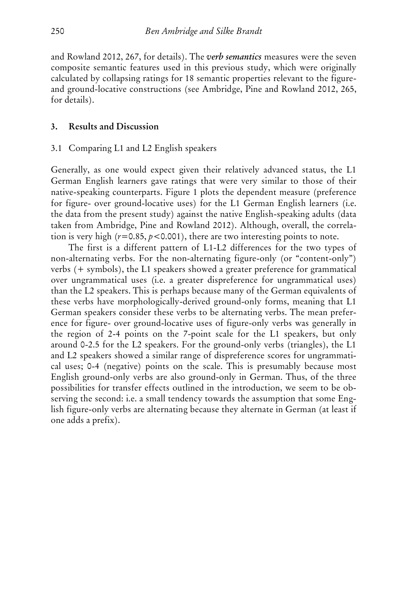and Rowland 2012, 267, for details). The *verb semantics* measures were the seven composite semantic features used in this previous study, which were originally calculated by collapsing ratings for 18 semantic properties relevant to the figureand ground-locative constructions (see Ambridge, Pine and Rowland 2012, 265, for details).

#### **3. Results and Discussion**

#### 3.1 Comparing L1 and L2 English speakers

Generally, as one would expect given their relatively advanced status, the L1 German English learners gave ratings that were very similar to those of their native-speaking counterparts. Figure 1 plots the dependent measure (preference for figure- over ground-locative uses) for the L1 German English learners (i.e. the data from the present study) against the native English-speaking adults (data taken from Ambridge, Pine and Rowland 2012). Although, overall, the correlation is very high  $(r=0.85, p<0.001)$ , there are two interesting points to note.

The first is a different pattern of L1-L2 differences for the two types of non-alternating verbs. For the non-alternating figure-only (or "content-only") verbs (+ symbols), the L1 speakers showed a greater preference for grammatical over ungrammatical uses (i.e. a greater dispreference for ungrammatical uses) than the L2 speakers. This is perhaps because many of the German equivalents of these verbs have morphologically-derived ground-only forms, meaning that L1 German speakers consider these verbs to be alternating verbs. The mean preference for figure- over ground-locative uses of figure-only verbs was generally in the region of 2-4 points on the 7-point scale for the L1 speakers, but only around 0-2.5 for the L2 speakers. For the ground-only verbs (triangles), the L1 and L2 speakers showed a similar range of dispreference scores for ungrammatical uses; 0-4 (negative) points on the scale. This is presumably because most English ground-only verbs are also ground-only in German. Thus, of the three possibilities for transfer effects outlined in the introduction, we seem to be observing the second: i.e. a small tendency towards the assumption that some English figure-only verbs are alternating because they alternate in German (at least if one adds a prefix).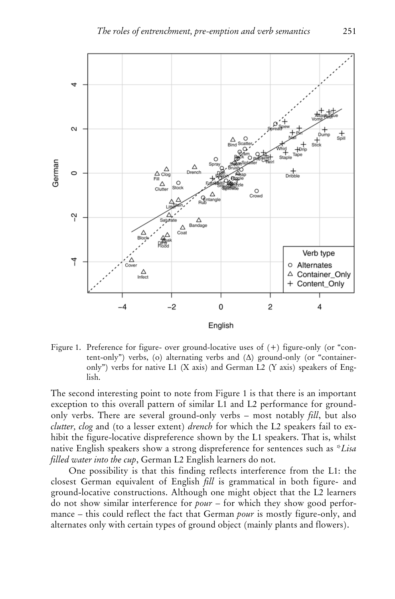

Figure 1. Preference for figure- over ground-locative uses of (+) figure-only (or "content-only") verbs, (o) alternating verbs and  $(\Delta)$  ground-only (or "containeronly") verbs for native L1 (X axis) and German L2 (Y axis) speakers of English.

The second interesting point to note from Figure 1 is that there is an important exception to this overall pattern of similar L1 and L2 performance for groundonly verbs. There are several ground-only verbs – most notably *fill*, but also *clutter, clog* and (to a lesser extent) *drench* for which the L2 speakers fail to exhibit the figure-locative dispreference shown by the L1 speakers. That is, whilst native English speakers show a strong dispreference for sentences such as \**Lisa filled water into the cup*, German L2 English learners do not.

One possibility is that this finding reflects interference from the L1: the closest German equivalent of English *fill* is grammatical in both figure- and ground-locative constructions. Although one might object that the L2 learners do not show similar interference for *pour* – for which they show good performance – this could reflect the fact that German *pour* is mostly figure-only, and alternates only with certain types of ground object (mainly plants and flowers).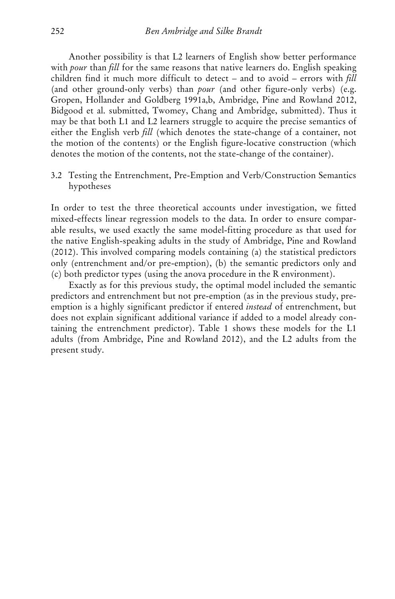Another possibility is that L2 learners of English show better performance with *pour* than *fill* for the same reasons that native learners do. English speaking children find it much more difficult to detect – and to avoid – errors with *fill* (and other ground-only verbs) than *pour* (and other figure-only verbs) (e.g. Gropen, Hollander and Goldberg 1991a,b, Ambridge, Pine and Rowland 2012, Bidgood et al. submitted, Twomey, Chang and Ambridge, submitted). Thus it may be that both L1 and L2 learners struggle to acquire the precise semantics of either the English verb *fill* (which denotes the state-change of a container, not the motion of the contents) or the English figure-locative construction (which denotes the motion of the contents, not the state-change of the container).

3.2 Testing the Entrenchment, Pre-Emption and Verb/Construction Semantics hypotheses

In order to test the three theoretical accounts under investigation, we fitted mixed-effects linear regression models to the data. In order to ensure comparable results, we used exactly the same model-fitting procedure as that used for the native English-speaking adults in the study of Ambridge, Pine and Rowland (2012). This involved comparing models containing (a) the statistical predictors only (entrenchment and/or pre-emption), (b) the semantic predictors only and (c) both predictor types (using the anova procedure in the R environment).

Exactly as for this previous study, the optimal model included the semantic predictors and entrenchment but not pre-emption (as in the previous study, preemption is a highly significant predictor if entered *instead* of entrenchment, but does not explain significant additional variance if added to a model already containing the entrenchment predictor). Table 1 shows these models for the L1 adults (from Ambridge, Pine and Rowland 2012), and the L2 adults from the present study.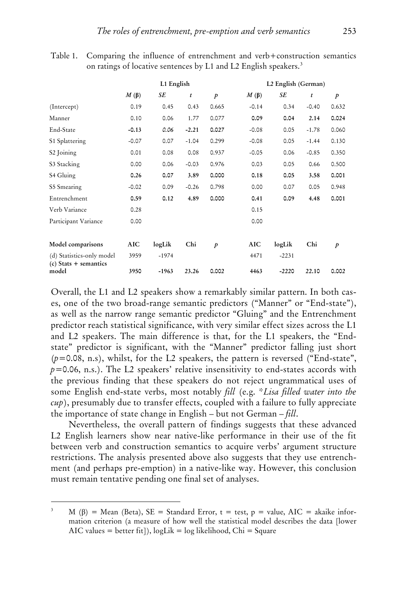Table 1. Comparing the influence of entrenchment and verb+construction semantics on ratings of locative sentences by L1 and L2 English speakers.<sup>[3](#page-1-1)</sup>

|                                                      | L1 English |         |         | L2 English (German) |            |         |                  |               |
|------------------------------------------------------|------------|---------|---------|---------------------|------------|---------|------------------|---------------|
|                                                      | $M(\beta)$ | SE      | t       | $\boldsymbol{p}$    | $M(\beta)$ | SE      | $\boldsymbol{t}$ | $\mathcal{P}$ |
| (Intercept)                                          | 0.19       | 0.45    | 0.43    | 0.665               | $-0.14$    | 0.34    | $-0.40$          | 0.632         |
| Manner                                               | 0.10       | 0.06    | 1.77    | 0.077               | 0.09       | 0.04    | 2.14             | 0.024         |
| End-State                                            | $-0.13$    | 0.06    | $-2.21$ | 0.027               | $-0.08$    | 0.05    | $-1.78$          | 0.060         |
| S1 Splattering                                       | $-0.07$    | 0.07    | $-1.04$ | 0.299               | $-0.08$    | 0.05    | $-1.44$          | 0.130         |
| S2 Joining                                           | 0.01       | 0.08    | 0.08    | 0.937               | $-0.05$    | 0.06    | $-0.85$          | 0.350         |
| S3 Stacking                                          | 0.00       | 0.06    | $-0.03$ | 0.976               | 0.03       | 0.05    | 0.66             | 0.500         |
| S4 Gluing                                            | 0.26       | 0.07    | 3.89    | 0.000               | 0.18       | 0.05    | 3.58             | 0.001         |
| S5 Smearing                                          | $-0.02$    | 0.09    | $-0.26$ | 0.798               | 0.00       | 0.07    | 0.05             | 0.948         |
| Entrenchment                                         | 0.59       | 0.12    | 4.89    | 0.000               | 0.41       | 0.09    | 4.48             | 0.001         |
| Verb Variance                                        | 0.28       |         |         |                     | 0.15       |         |                  |               |
| Participant Variance                                 | 0.00       |         |         |                     | 0.00       |         |                  |               |
| Model comparisons                                    | AIC        | logLik  | Chi     | $\boldsymbol{p}$    | AIC        | logLik  | Chi              | $\mathcal{P}$ |
| (d) Statistics-only model<br>$(c)$ Stats + semantics | 3959       | $-1974$ |         |                     | 4471       | $-2231$ |                  |               |
| model                                                | 3950       | $-1963$ | 23.26   | 0.002               | 4463       | $-2220$ | 22.10            | 0.002         |

Overall, the L1 and L2 speakers show a remarkably similar pattern. In both cases, one of the two broad-range semantic predictors ("Manner" or "End-state"), as well as the narrow range semantic predictor "Gluing" and the Entrenchment predictor reach statistical significance, with very similar effect sizes across the L1 and L2 speakers. The main difference is that, for the L1 speakers, the "Endstate" predictor is significant, with the "Manner" predictor falling just short (*p*=0.08, n.s), whilst, for the L2 speakers, the pattern is reversed ("End-state",  $p=0.06$ , n.s.). The L2 speakers' relative insensitivity to end-states accords with the previous finding that these speakers do not reject ungrammatical uses of some English end-state verbs, most notably *fill* (e.g. \**Lisa filled water into the cup*), presumably due to transfer effects, coupled with a failure to fully appreciate the importance of state change in English – but not German – *fill*.

Nevertheless, the overall pattern of findings suggests that these advanced L2 English learners show near native-like performance in their use of the fit between verb and construction semantics to acquire verbs' argument structure restrictions. The analysis presented above also suggests that they use entrenchment (and perhaps pre-emption) in a native-like way. However, this conclusion must remain tentative pending one final set of analyses.

-

<sup>&</sup>lt;sup>3</sup> M ( $\beta$ ) = Mean (Beta), SE = Standard Error, t = test, p = value, AIC = akaike information criterion (a measure of how well the statistical model describes the data [lower AIC values = better fit]), logLik = log likelihood, Chi = Square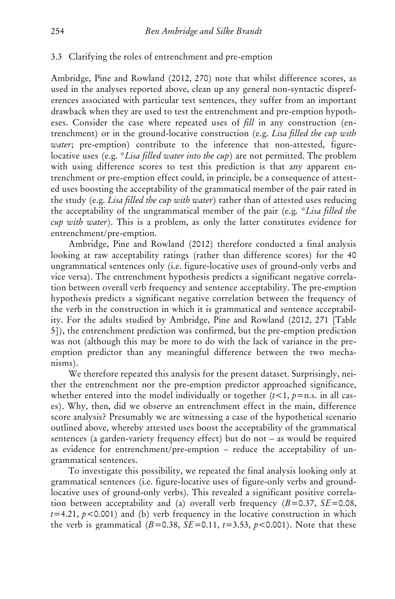#### 3.3 Clarifying the roles of entrenchment and pre-emption

Ambridge, Pine and Rowland (2012, 270) note that whilst difference scores, as used in the analyses reported above, clean up any general non-syntactic dispreferences associated with particular test sentences, they suffer from an important drawback when they are used to test the entrenchment and pre-emption hypotheses. Consider the case where repeated uses of *fill* in any construction (entrenchment) or in the ground-locative construction (e.g. *Lisa filled the cup with water*; pre-emption) contribute to the inference that non-attested, figurelocative uses (e.g. \**Lisa filled water into the cup*) are not permitted. The problem with using difference scores to test this prediction is that any apparent entrenchment or pre-emption effect could, in principle, be a consequence of attested uses boosting the acceptability of the grammatical member of the pair rated in the study (e.g. *Lisa filled the cup with water*) rather than of attested uses reducing the acceptability of the ungrammatical member of the pair (e.g. *\*Lisa filled the cup with water*). This is a problem, as only the latter constitutes evidence for entrenchment/pre-emption.

Ambridge, Pine and Rowland (2012) therefore conducted a final analysis looking at raw acceptability ratings (rather than difference scores) for the 40 ungrammatical sentences only (i.e. figure-locative uses of ground-only verbs and vice versa). The entrenchment hypothesis predicts a significant negative correlation between overall verb frequency and sentence acceptability. The pre-emption hypothesis predicts a significant negative correlation between the frequency of the verb in the construction in which it is grammatical and sentence acceptability. For the adults studied by Ambridge, Pine and Rowland (2012, 271 [Table 5]), the entrenchment prediction was confirmed, but the pre-emption prediction was not (although this may be more to do with the lack of variance in the preemption predictor than any meaningful difference between the two mechanisms).

We therefore repeated this analysis for the present dataset. Surprisingly, neither the entrenchment nor the pre-emption predictor approached significance, whether entered into the model individually or together  $(t<1, p=n.s.$  in all cases). Why, then, did we observe an entrenchment effect in the main, difference score analysis? Presumably we are witnessing a case of the hypothetical scenario outlined above, whereby attested uses boost the acceptability of the grammatical sentences (a garden-variety frequency effect) but do not – as would be required as evidence for entrenchment/pre-emption – reduce the acceptability of ungrammatical sentences.

To investigate this possibility, we repeated the final analysis looking only at grammatical sentences (i.e. figure-locative uses of figure-only verbs and groundlocative uses of ground-only verbs). This revealed a significant positive correlation between acceptability and (a) overall verb frequency (*B*=0.37, *SE*=0.08,  $t=4.21$ ,  $p<0.001$ ) and (b) verb frequency in the locative construction in which the verb is grammatical  $(B=0.38, SE=0.11, t=3.53, p<0.001)$ . Note that these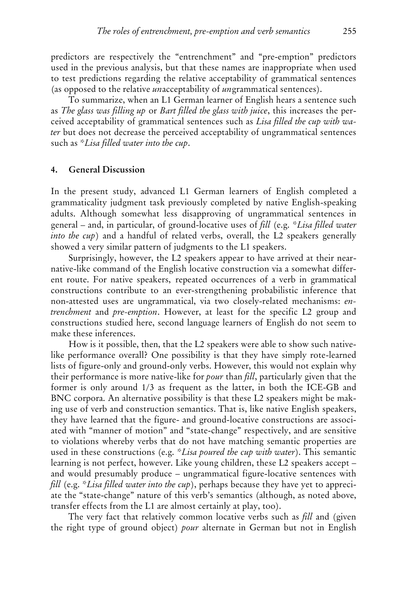predictors are respectively the "entrenchment" and "pre-emption" predictors used in the previous analysis, but that these names are inappropriate when used to test predictions regarding the relative acceptability of grammatical sentences (as opposed to the relative *un*acceptability of *un*grammatical sentences).

To summarize, when an L1 German learner of English hears a sentence such as *The glass was filling up* or *Bart filled the glass with juice*, this increases the perceived acceptability of grammatical sentences such as *Lisa filled the cup with water* but does not decrease the perceived acceptability of ungrammatical sentences such as *\*Lisa filled water into the cup*.

#### **4. General Discussion**

In the present study, advanced L1 German learners of English completed a grammaticality judgment task previously completed by native English-speaking adults. Although somewhat less disapproving of ungrammatical sentences in general – and, in particular, of ground-locative uses of *fill* (e.g. *\*Lisa filled water into the cup*) and a handful of related verbs, overall, the L2 speakers generally showed a very similar pattern of judgments to the L1 speakers.

Surprisingly, however, the L2 speakers appear to have arrived at their nearnative-like command of the English locative construction via a somewhat different route. For native speakers, repeated occurrences of a verb in grammatical constructions contribute to an ever-strengthening probabilistic inference that non-attested uses are ungrammatical, via two closely-related mechanisms: *entrenchment* and *pre-emption*. However, at least for the specific L2 group and constructions studied here, second language learners of English do not seem to make these inferences.

How is it possible, then, that the L2 speakers were able to show such nativelike performance overall? One possibility is that they have simply rote-learned lists of figure-only and ground-only verbs. However, this would not explain why their performance is more native-like for *pour* than *fill*, particularly given that the former is only around 1/3 as frequent as the latter, in both the ICE-GB and BNC corpora. An alternative possibility is that these L2 speakers might be making use of verb and construction semantics. That is, like native English speakers, they have learned that the figure- and ground-locative constructions are associated with "manner of motion" and "state-change" respectively, and are sensitive to violations whereby verbs that do not have matching semantic properties are used in these constructions (e.g. *\*Lisa poured the cup with water*). This semantic learning is not perfect, however. Like young children, these L2 speakers accept – and would presumably produce – ungrammatical figure-locative sentences with *fill* (e.g. *\*Lisa filled water into the cup*), perhaps because they have yet to appreciate the "state-change" nature of this verb's semantics (although, as noted above, transfer effects from the L1 are almost certainly at play, too).

The very fact that relatively common locative verbs such as *fill* and (given the right type of ground object) *pour* alternate in German but not in English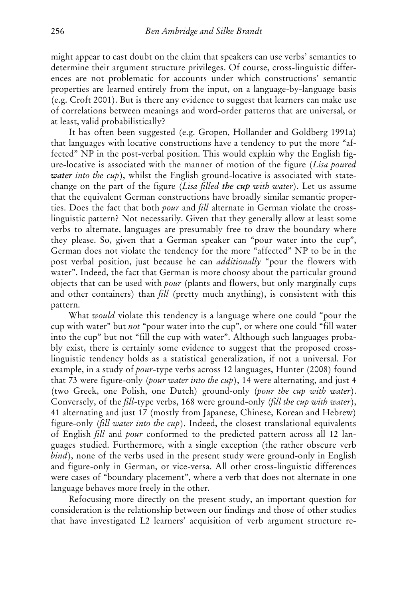might appear to cast doubt on the claim that speakers can use verbs' semantics to determine their argument structure privileges. Of course, cross-linguistic differences are not problematic for accounts under which constructions' semantic properties are learned entirely from the input, on a language-by-language basis (e.g. Croft 2001). But is there any evidence to suggest that learners can make use of correlations between meanings and word-order patterns that are universal, or at least, valid probabilistically?

It has often been suggested (e.g. Gropen, Hollander and Goldberg 1991a) that languages with locative constructions have a tendency to put the more "affected" NP in the post-verbal position. This would explain why the English figure-locative is associated with the manner of motion of the figure (*Lisa poured water into the cup*), whilst the English ground-locative is associated with statechange on the part of the figure (*Lisa filled the cup with water*). Let us assume that the equivalent German constructions have broadly similar semantic properties. Does the fact that both *pour* and *fill* alternate in German violate the crosslinguistic pattern? Not necessarily. Given that they generally allow at least some verbs to alternate, languages are presumably free to draw the boundary where they please. So, given that a German speaker can "pour water into the cup", German does not violate the tendency for the more "affected" NP to be in the post verbal position, just because he can *additionally* "pour the flowers with water". Indeed, the fact that German is more choosy about the particular ground objects that can be used with *pour* (plants and flowers, but only marginally cups and other containers) than *fill* (pretty much anything), is consistent with this pattern.

What *would* violate this tendency is a language where one could "pour the cup with water" but *not* "pour water into the cup", or where one could "fill water into the cup" but not "fill the cup with water". Although such languages probably exist, there is certainly some evidence to suggest that the proposed crosslinguistic tendency holds as a statistical generalization, if not a universal. For example, in a study of *pour*-type verbs across 12 languages, Hunter (2008) found that 73 were figure-only (*pour water into the cup*), 14 were alternating, and just 4 (two Greek, one Polish, one Dutch) ground-only (*pour the cup with water*). Conversely, of the *fill*-type verbs, 168 were ground-only (*fill the cup with water*), 41 alternating and just 17 (mostly from Japanese, Chinese, Korean and Hebrew) figure-only (*fill water into the cup*). Indeed, the closest translational equivalents of English *fill* and *pour* conformed to the predicted pattern across all 12 languages studied. Furthermore, with a single exception (the rather obscure verb *bind*), none of the verbs used in the present study were ground-only in English and figure-only in German, or vice-versa. All other cross-linguistic differences were cases of "boundary placement", where a verb that does not alternate in one language behaves more freely in the other.

Refocusing more directly on the present study, an important question for consideration is the relationship between our findings and those of other studies that have investigated L2 learners' acquisition of verb argument structure re-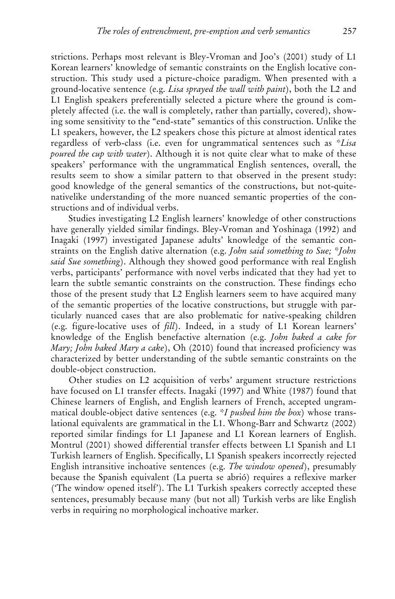strictions. Perhaps most relevant is Bley-Vroman and Joo's (2001) study of L1 Korean learners' knowledge of semantic constraints on the English locative construction. This study used a picture-choice paradigm. When presented with a ground-locative sentence (e.g. *Lisa sprayed the wall with paint*), both the L2 and L1 English speakers preferentially selected a picture where the ground is completely affected (i.e. the wall is completely, rather than partially, covered), showing some sensitivity to the "end-state" semantics of this construction. Unlike the L1 speakers, however, the L2 speakers chose this picture at almost identical rates regardless of verb-class (i.e. even for ungrammatical sentences such as *\*Lisa poured the cup with water*). Although it is not quite clear what to make of these speakers' performance with the ungrammatical English sentences, overall, the results seem to show a similar pattern to that observed in the present study: good knowledge of the general semantics of the constructions, but not-quitenativelike understanding of the more nuanced semantic properties of the constructions and of individual verbs.

Studies investigating L2 English learners' knowledge of other constructions have generally yielded similar findings. Bley-Vroman and Yoshinaga (1992) and Inagaki (1997) investigated Japanese adults' knowledge of the semantic constraints on the English dative alternation (e.g. *John said something to Sue; \*John said Sue something*). Although they showed good performance with real English verbs, participants' performance with novel verbs indicated that they had yet to learn the subtle semantic constraints on the construction. These findings echo those of the present study that L2 English learners seem to have acquired many of the semantic properties of the locative constructions, but struggle with particularly nuanced cases that are also problematic for native-speaking children (e.g. figure-locative uses of *fill*). Indeed, in a study of L1 Korean learners' knowledge of the English benefactive alternation (e.g. *John baked a cake for Mary; John baked Mary a cake*), Oh (2010) found that increased proficiency was characterized by better understanding of the subtle semantic constraints on the double-object construction.

Other studies on L2 acquisition of verbs' argument structure restrictions have focused on L1 transfer effects. Inagaki (1997) and White (1987) found that Chinese learners of English, and English learners of French, accepted ungrammatical double-object dative sentences (e.g. *\*I pushed him the box*) whose translational equivalents are grammatical in the L1. Whong-Barr and Schwartz (2002) reported similar findings for L1 Japanese and L1 Korean learners of English. Montrul (2001) showed differential transfer effects between L1 Spanish and L1 Turkish learners of English. Specifically, L1 Spanish speakers incorrectly rejected English intransitive inchoative sentences (e.g. *The window opened*), presumably because the Spanish equivalent (La puerta se abrió) requires a reflexive marker ('The window opened itself'). The L1 Turkish speakers correctly accepted these sentences, presumably because many (but not all) Turkish verbs are like English verbs in requiring no morphological inchoative marker.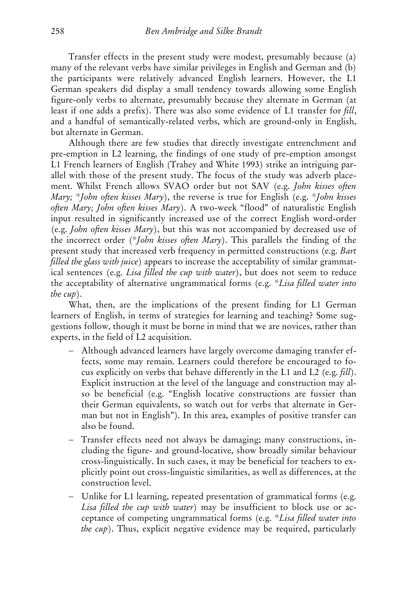Transfer effects in the present study were modest, presumably because (a) many of the relevant verbs have similar privileges in English and German and (b) the participants were relatively advanced English learners. However, the L1 German speakers did display a small tendency towards allowing some English figure-only verbs to alternate, presumably because they alternate in German (at least if one adds a prefix). There was also some evidence of L1 transfer for *fill*, and a handful of semantically-related verbs, which are ground-only in English, but alternate in German.

Although there are few studies that directly investigate entrenchment and pre-emption in L2 learning, the findings of one study of pre-emption amongst L1 French learners of English (Trahey and White 1993) strike an intriguing parallel with those of the present study. The focus of the study was adverb placement. Whilst French allows SVAO order but not SAV (e.g. *John kisses often Mary; \*John often kisses Mary*), the reverse is true for English (e.g. *\*John kisses often Mary; John often kisses Mary*). A two-week "flood" of naturalistic English input resulted in significantly increased use of the correct English word-order (e.g. *John often kisses Mary*), but this was not accompanied by decreased use of the incorrect order (*\*John kisses often Mary*). This parallels the finding of the present study that increased verb frequency in permitted constructions (e.g. *Bart filled the glass with juice*) appears to increase the acceptability of similar grammatical sentences (e.g. *Lisa filled the cup with water*), but does not seem to reduce the acceptability of alternative ungrammatical forms (e.g. *\*Lisa filled water into the cup*).

What, then, are the implications of the present finding for L1 German learners of English, in terms of strategies for learning and teaching? Some suggestions follow, though it must be borne in mind that we are novices, rather than experts, in the field of L2 acquisition.

- − Although advanced learners have largely overcome damaging transfer effects, some may remain. Learners could therefore be encouraged to focus explicitly on verbs that behave differently in the L1 and L2 (e.g. *fill*). Explicit instruction at the level of the language and construction may also be beneficial (e.g. "English locative constructions are fussier than their German equivalents, so watch out for verbs that alternate in German but not in English"). In this area, examples of positive transfer can also be found.
- − Transfer effects need not always be damaging; many constructions, including the figure- and ground-locative, show broadly similar behaviour cross-linguistically. In such cases, it may be beneficial for teachers to explicitly point out cross-linguistic similarities, as well as differences, at the construction level.
- − Unlike for L1 learning, repeated presentation of grammatical forms (e.g. *Lisa filled the cup with water*) may be insufficient to block use or acceptance of competing ungrammatical forms (e.g. *\*Lisa filled water into the cup*). Thus, explicit negative evidence may be required, particularly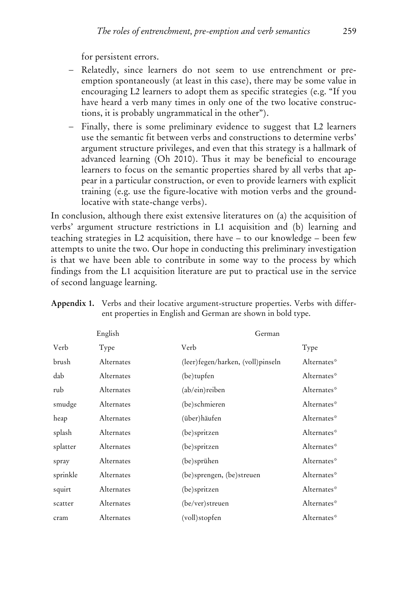for persistent errors.

- − Relatedly, since learners do not seem to use entrenchment or preemption spontaneously (at least in this case), there may be some value in encouraging L2 learners to adopt them as specific strategies (e.g. "If you have heard a verb many times in only one of the two locative constructions, it is probably ungrammatical in the other").
- − Finally, there is some preliminary evidence to suggest that L2 learners use the semantic fit between verbs and constructions to determine verbs' argument structure privileges, and even that this strategy is a hallmark of advanced learning (Oh 2010). Thus it may be beneficial to encourage learners to focus on the semantic properties shared by all verbs that appear in a particular construction, or even to provide learners with explicit training (e.g. use the figure-locative with motion verbs and the groundlocative with state-change verbs).

In conclusion, although there exist extensive literatures on (a) the acquisition of verbs' argument structure restrictions in L1 acquisition and (b) learning and teaching strategies in L2 acquisition, there have – to our knowledge – been few attempts to unite the two. Our hope in conducting this preliminary investigation is that we have been able to contribute in some way to the process by which findings from the L1 acquisition literature are put to practical use in the service of second language learning.

| English  |                   |                                     | German      |  |  |  |
|----------|-------------------|-------------------------------------|-------------|--|--|--|
| Verb     | Type              | Verb                                | Type        |  |  |  |
| brush    | <b>Alternates</b> | (leer) fegen/harken, (voll) pinseln | Alternates* |  |  |  |
| dab      | Alternates        | (be) tupfen                         | Alternates* |  |  |  |
| rub      | Alternates        | (ab/ein)reiben                      | Alternates* |  |  |  |
| smudge   | Alternates        | (be)schmieren                       | Alternates* |  |  |  |
| heap     | Alternates        | (über)häufen                        | Alternates* |  |  |  |
| splash   | Alternates        | (be)spritzen                        | Alternates* |  |  |  |
| splatter | Alternates        | (be)spritzen                        | Alternates* |  |  |  |
| spray    | Alternates        | (be)sprühen                         | Alternates* |  |  |  |
| sprinkle | Alternates        | (be)sprengen, (be)streuen           | Alternates* |  |  |  |
| squirt   | Alternates        | (be)spritzen                        | Alternates* |  |  |  |
| scatter  | Alternates        | (be/ver)streuen                     | Alternates* |  |  |  |
| cram     | Alternates        | (voll)stopfen                       | Alternates* |  |  |  |

**Appendix 1.** Verbs and their locative argument-structure properties. Verbs with different properties in English and German are shown in bold type.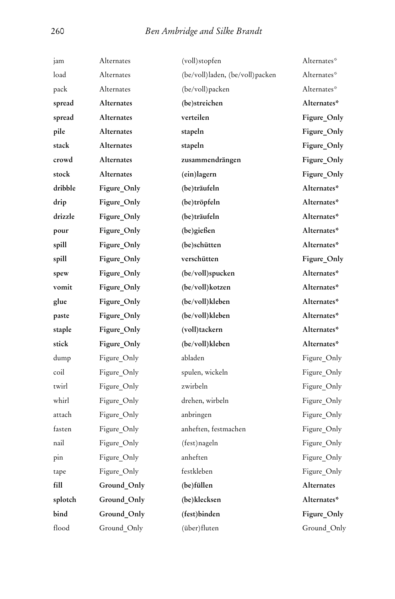| jam     | Alternates        | (voll)stopfen                   | Alternates* |
|---------|-------------------|---------------------------------|-------------|
| load    | Alternates        | (be/voll)laden, (be/voll)packen | Alternates* |
| pack    | Alternates        | (be/voll)packen                 | Alternates* |
| spread  | Alternates        | (be)streichen                   | Alternates* |
| spread  | <b>Alternates</b> | verteilen                       | Figure_Only |
| pile    | Alternates        | stapeln                         | Figure_Only |
| stack   | Alternates        | stapeln                         | Figure_Only |
| crowd   | Alternates        | zusammendrängen                 | Figure_Only |
| stock   | <b>Alternates</b> | (ein)lagern                     | Figure_Only |
| dribble | Figure Only       | (be)träufeln                    | Alternates* |
| drip    | Figure_Only       | (be)tröpfeln                    | Alternates* |
| drizzle | Figure_Only       | (be)träufeln                    | Alternates* |
| pour    | Figure_Only       | (be)gießen                      | Alternates* |
| spill   | Figure_Only       | (be)schütten                    | Alternates* |
| spill   | Figure_Only       | verschütten                     | Figure_Only |
| spew    | Figure_Only       | (be/voll)spucken                | Alternates* |
| vomit   | Figure_Only       | (be/voll)kotzen                 | Alternates* |
| glue    | Figure_Only       | (be/voll)kleben                 | Alternates* |
| paste   | Figure_Only       | (be/voll)kleben                 | Alternates* |
| staple  | Figure_Only       | (voll)tackern                   | Alternates* |
| stick   | Figure_Only       | (be/voll)kleben                 | Alternates* |
| dump    | Figure_Only       | abladen                         | Figure_Only |
| coil    | Figure_Only       | spulen, wickeln                 | Figure_Only |
| twirl   | Figure_Only       | zwirbeln                        | Figure_Only |
| whirl   | Figure_Only       | drehen, wirbeln                 | Figure_Only |
| attach  | Figure_Only       | anbringen                       | Figure_Only |
| fasten  | Figure_Only       | anheften, festmachen            | Figure_Only |
| nail    | Figure_Only       | (fest)nageln                    | Figure_Only |
| pin     | Figure_Only       | anheften                        | Figure_Only |
| tape    | Figure_Only       | festkleben                      | Figure Only |
| fill    | Ground Only       | (be)füllen                      | Alternates  |
| splotch | Ground_Only       | (be)klecksen                    | Alternates* |
| bind    | Ground_Only       | (fest)binden                    | Figure_Only |
| flood   | Ground_Only       | (über)fluten                    | Ground_Only |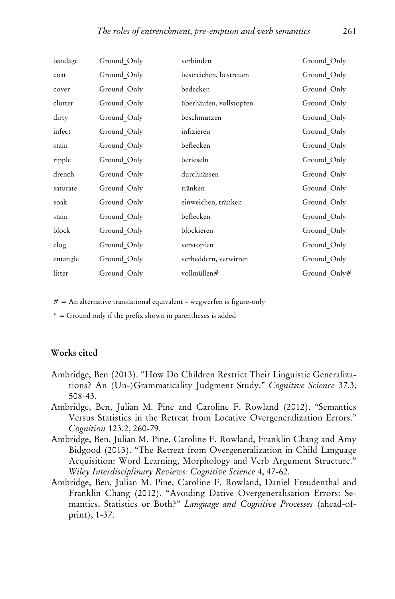| bandage  | Ground_Only | verbinden               | Ground_Only  |
|----------|-------------|-------------------------|--------------|
| coat     | Ground_Only | bestreichen, bestreuen  | Ground_Only  |
| cover    | Ground Only | bedecken                | Ground_Only  |
| clutter  | Ground Only | überhäufen, vollstopfen | Ground_Only  |
| dirty    | Ground_Only | beschmutzen             | Ground_Only  |
| infect   | Ground Only | infizieren              | Ground Only  |
| stain    | Ground_Only | beflecken               | Ground_Only  |
| ripple   | Ground_Only | berieseln               | Ground Only  |
| drench   | Ground Only | durchnässen             | Ground Only  |
| saturate | Ground_Only | tränken                 | Ground_Only  |
| soak     | Ground Only | einweichen, tränken     | Ground Only  |
| stain    | Ground Only | beflecken               | Ground_Only  |
| block    | Ground_Only | blockieren              | Ground Only  |
| clog     | Ground Only | verstopfen              | Ground_Only  |
| entangle | Ground_Only | verheddern, verwirren   | Ground_Only  |
| litter   | Ground Only | vollmüllen#             | Ground Only# |

 $# =$  An alternative translational equivalent – wegwerfen is figure-only

 $* =$  Ground only if the prefix shown in parentheses is added

#### **Works cited**

- Ambridge, Ben (2013). "How Do Children Restrict Their Linguistic Generalizations? An (Un-)Grammaticality Judgment Study." *Cognitive Science* 37.3, 508-43.
- Ambridge, Ben, Julian M. Pine and Caroline F. Rowland (2012). "Semantics Versus Statistics in the Retreat from Locative Overgeneralization Errors." *Cognition* 123.2, 260-79.
- Ambridge, Ben, Julian M. Pine, Caroline F. Rowland, Franklin Chang and Amy Bidgood (2013). "The Retreat from Overgeneralization in Child Language Acquisition: Word Learning, Morphology and Verb Argument Structure." *Wiley Interdisciplinary Reviews: Cognitive Science* 4, 47-62.
- Ambridge, Ben, Julian M. Pine, Caroline F. Rowland, Daniel Freudenthal and Franklin Chang (2012). "Avoiding Dative Overgeneralisation Errors: Semantics, Statistics or Both?" *Language and Cognitive Processes* (ahead-ofprint), 1-37.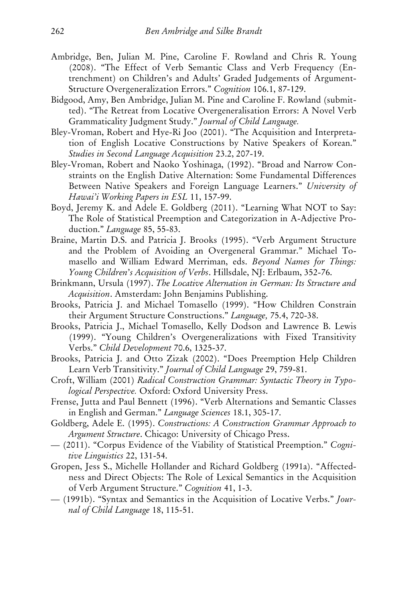- Ambridge, Ben, Julian M. Pine, Caroline F. Rowland and Chris R. Young (2008). "The Effect of Verb Semantic Class and Verb Frequency (Entrenchment) on Children's and Adults' Graded Judgements of Argument-Structure Overgeneralization Errors." *Cognition* 106.1, 87-129.
- Bidgood, Amy, Ben Ambridge, Julian M. Pine and Caroline F. Rowland (submitted). "The Retreat from Locative Overgeneralisation Errors: A Novel Verb Grammaticality Judgment Study." *Journal of Child Language.*
- Bley-Vroman, Robert and Hye-Ri Joo (2001). "The Acquisition and Interpretation of English Locative Constructions by Native Speakers of Korean." *Studies in Second Language Acquisition* 23.2, 207-19.
- Bley-Vroman, Robert and Naoko Yoshinaga, (1992). "Broad and Narrow Constraints on the English Dative Alternation: Some Fundamental Differences Between Native Speakers and Foreign Language Learners." *University of Hawai'i Working Papers in ESL* 11, 157-99.
- Boyd, Jeremy K. and Adele E. Goldberg (2011). "Learning What NOT to Say: The Role of Statistical Preemption and Categorization in A-Adjective Production." *Language* 85, 55-83.
- Braine, Martin D.S. and Patricia J. Brooks (1995). "Verb Argument Structure and the Problem of Avoiding an Overgeneral Grammar." Michael Tomasello and William Edward Merriman, eds. *Beyond Names for Things: Young Children*'*s Acquisition of Verbs*. Hillsdale, NJ: Erlbaum, 352-76.
- Brinkmann, Ursula (1997). *The Locative Alternation in German: Its Structure and Acquisition*. Amsterdam: John Benjamins Publishing.
- Brooks, Patricia J. and Michael Tomasello (1999). "How Children Constrain their Argument Structure Constructions." *Language,* 75.4, 720-38.
- Brooks, Patricia J., Michael Tomasello, Kelly Dodson and Lawrence B. Lewis (1999). "Young Children's Overgeneralizations with Fixed Transitivity Verbs." *Child Development* 70.6, 1325-37.
- Brooks, Patricia J. and Otto Zizak (2002). "Does Preemption Help Children Learn Verb Transitivity." *Journal of Child Language* 29, 759-81.
- Croft, William (2001) *Radical Construction Grammar: Syntactic Theory in Typological Perspective.* Oxford: Oxford University Press.
- Frense, Jutta and Paul Bennett (1996). "Verb Alternations and Semantic Classes in English and German." *Language Sciences* 18.1, 305-17.
- Goldberg, Adele E. (1995). *Constructions: A Construction Grammar Approach to Argument Structure*. Chicago: University of Chicago Press.
- (2011). "Corpus Evidence of the Viability of Statistical Preemption." *Cognitive Linguistics* 22, 131-54.
- Gropen, Jess S., Michelle Hollander and Richard Goldberg (1991a). "Affectedness and Direct Objects: The Role of Lexical Semantics in the Acquisition of Verb Argument Structure." *Cognition* 41, 1-3.
- (1991b). "Syntax and Semantics in the Acquisition of Locative Verbs." *Journal of Child Language* 18, 115-51.